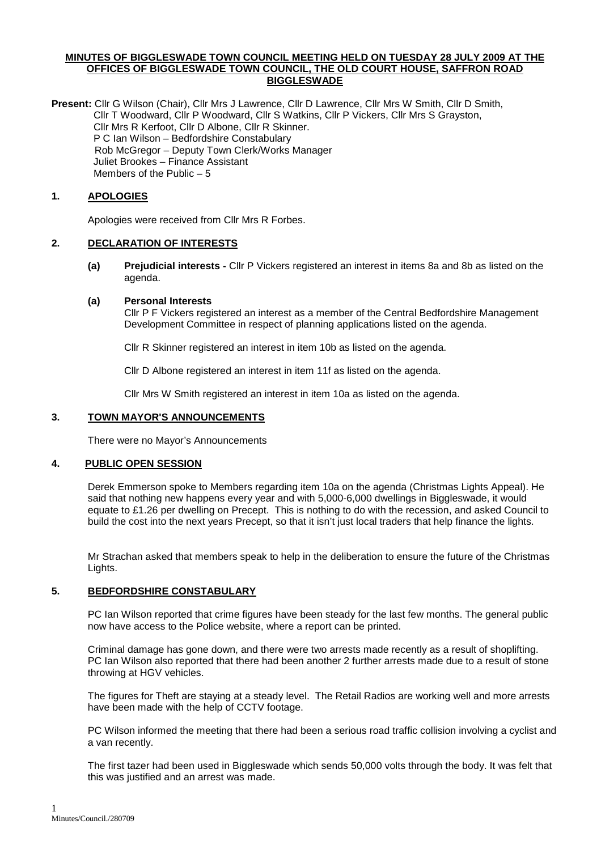### **MINUTES OF BIGGLESWADE TOWN COUNCIL MEETING HELD ON TUESDAY 28 JULY 2009 AT THE OFFICES OF BIGGLESWADE TOWN COUNCIL, THE OLD COURT HOUSE, SAFFRON ROAD BIGGLESWADE**

**Present:** Cllr G Wilson (Chair), Cllr Mrs J Lawrence, Cllr D Lawrence, Cllr Mrs W Smith, Cllr D Smith, Cllr T Woodward, Cllr P Woodward, Cllr S Watkins, Cllr P Vickers, Cllr Mrs S Grayston, Cllr Mrs R Kerfoot, Cllr D Albone, Cllr R Skinner. P C Ian Wilson – Bedfordshire Constabulary Rob McGregor – Deputy Town Clerk/Works Manager Juliet Brookes – Finance Assistant Members of the Public – 5

# **1. APOLOGIES**

Apologies were received from Cllr Mrs R Forbes.

### **2. DECLARATION OF INTERESTS**

**(a) Prejudicial interests -** Cllr P Vickers registered an interest in items 8a and 8b as listed on the agenda.

### **(a) Personal Interests**

Cllr P F Vickers registered an interest as a member of the Central Bedfordshire Management Development Committee in respect of planning applications listed on the agenda.

Cllr R Skinner registered an interest in item 10b as listed on the agenda.

Cllr D Albone registered an interest in item 11f as listed on the agenda.

Cllr Mrs W Smith registered an interest in item 10a as listed on the agenda.

### **3. TOWN MAYOR'S ANNOUNCEMENTS**

There were no Mayor's Announcements

# **4. PUBLIC OPEN SESSION**

Derek Emmerson spoke to Members regarding item 10a on the agenda (Christmas Lights Appeal). He said that nothing new happens every year and with 5,000-6,000 dwellings in Biggleswade, it would equate to £1.26 per dwelling on Precept. This is nothing to do with the recession, and asked Council to build the cost into the next years Precept, so that it isn't just local traders that help finance the lights.

Mr Strachan asked that members speak to help in the deliberation to ensure the future of the Christmas Lights.

### **5. BEDFORDSHIRE CONSTABULARY**

PC Ian Wilson reported that crime figures have been steady for the last few months. The general public now have access to the Police website, where a report can be printed.

Criminal damage has gone down, and there were two arrests made recently as a result of shoplifting. PC Ian Wilson also reported that there had been another 2 further arrests made due to a result of stone throwing at HGV vehicles.

The figures for Theft are staying at a steady level. The Retail Radios are working well and more arrests have been made with the help of CCTV footage.

PC Wilson informed the meeting that there had been a serious road traffic collision involving a cyclist and a van recently.

The first tazer had been used in Biggleswade which sends 50,000 volts through the body. It was felt that this was justified and an arrest was made.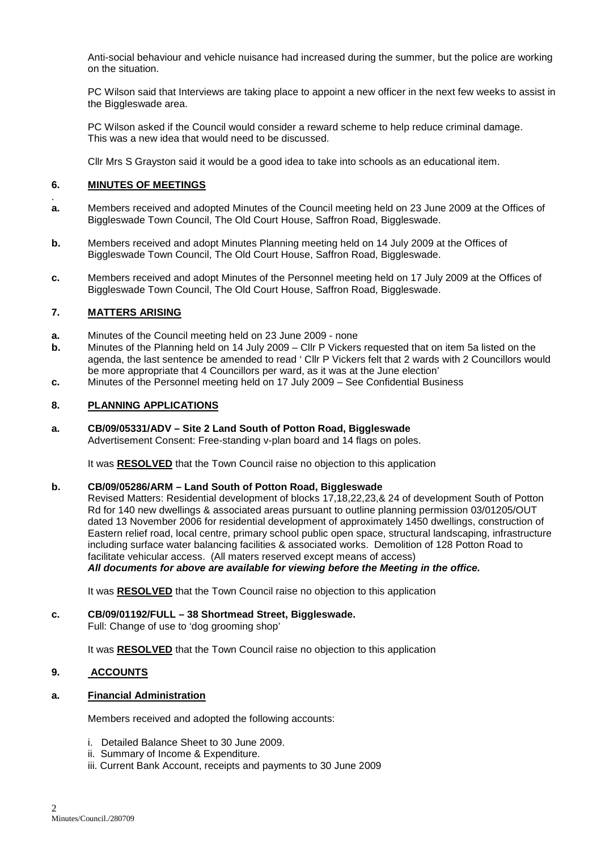Anti-social behaviour and vehicle nuisance had increased during the summer, but the police are working on the situation.

PC Wilson said that Interviews are taking place to appoint a new officer in the next few weeks to assist in the Biggleswade area.

PC Wilson asked if the Council would consider a reward scheme to help reduce criminal damage. This was a new idea that would need to be discussed.

Cllr Mrs S Grayston said it would be a good idea to take into schools as an educational item.

# **6. MINUTES OF MEETINGS**

- . **a.** Members received and adopted Minutes of the Council meeting held on 23 June 2009 at the Offices of Biggleswade Town Council, The Old Court House, Saffron Road, Biggleswade.
- **b.** Members received and adopt Minutes Planning meeting held on 14 July 2009 at the Offices of Biggleswade Town Council, The Old Court House, Saffron Road, Biggleswade.
- **c.** Members received and adopt Minutes of the Personnel meeting held on 17 July 2009 at the Offices of Biggleswade Town Council, The Old Court House, Saffron Road, Biggleswade.

# **7. MATTERS ARISING**

- **a.** Minutes of the Council meeting held on 23 June 2009 none
- **b.** Minutes of the Planning held on 14 July 2009 Cllr P Vickers requested that on item 5a listed on the agenda, the last sentence be amended to read ' Cllr P Vickers felt that 2 wards with 2 Councillors would be more appropriate that 4 Councillors per ward, as it was at the June election'
- **c.** Minutes of the Personnel meeting held on 17 July 2009 See Confidential Business

### **8. PLANNING APPLICATIONS**

### **a. CB/09/05331/ADV – Site 2 Land South of Potton Road, Biggleswade**

Advertisement Consent: Free-standing v-plan board and 14 flags on poles.

It was **RESOLVED** that the Town Council raise no objection to this application

#### **b. CB/09/05286/ARM – Land South of Potton Road, Biggleswade**

Revised Matters: Residential development of blocks 17,18,22,23,& 24 of development South of Potton Rd for 140 new dwellings & associated areas pursuant to outline planning permission 03/01205/OUT dated 13 November 2006 for residential development of approximately 1450 dwellings, construction of Eastern relief road, local centre, primary school public open space, structural landscaping, infrastructure including surface water balancing facilities & associated works. Demolition of 128 Potton Road to facilitate vehicular access. (All maters reserved except means of access) **All documents for above are available for viewing before the Meeting in the office.** 

It was **RESOLVED** that the Town Council raise no objection to this application

#### **c. CB/09/01192/FULL – 38 Shortmead Street, Biggleswade.**  Full: Change of use to 'dog grooming shop'

It was **RESOLVED** that the Town Council raise no objection to this application

# **9. ACCOUNTS**

# **a. Financial Administration**

Members received and adopted the following accounts:

- i. Detailed Balance Sheet to 30 June 2009.
- ii. Summary of Income & Expenditure.
- iii. Current Bank Account, receipts and payments to 30 June 2009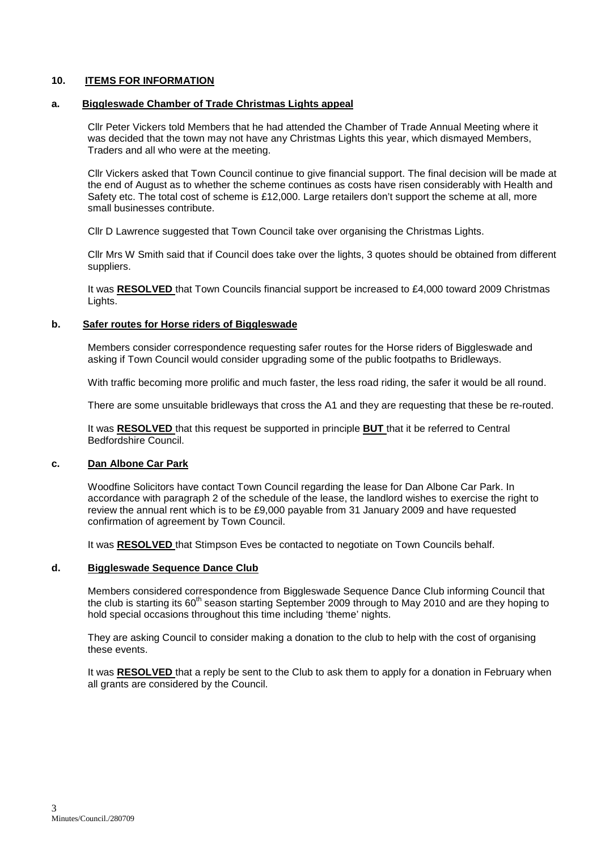# **10. ITEMS FOR INFORMATION**

# **a. Biggleswade Chamber of Trade Christmas Lights appeal**

Cllr Peter Vickers told Members that he had attended the Chamber of Trade Annual Meeting where it was decided that the town may not have any Christmas Lights this year, which dismayed Members, Traders and all who were at the meeting.

Cllr Vickers asked that Town Council continue to give financial support. The final decision will be made at the end of August as to whether the scheme continues as costs have risen considerably with Health and Safety etc. The total cost of scheme is £12,000. Large retailers don't support the scheme at all, more small businesses contribute.

Cllr D Lawrence suggested that Town Council take over organising the Christmas Lights.

Cllr Mrs W Smith said that if Council does take over the lights, 3 quotes should be obtained from different suppliers.

It was **RESOLVED** that Town Councils financial support be increased to £4,000 toward 2009 Christmas Lights.

### **b. Safer routes for Horse riders of Biggleswade**

Members consider correspondence requesting safer routes for the Horse riders of Biggleswade and asking if Town Council would consider upgrading some of the public footpaths to Bridleways.

With traffic becoming more prolific and much faster, the less road riding, the safer it would be all round.

There are some unsuitable bridleways that cross the A1 and they are requesting that these be re-routed.

It was **RESOLVED** that this request be supported in principle **BUT** that it be referred to Central Bedfordshire Council.

# **c. Dan Albone Car Park**

 Woodfine Solicitors have contact Town Council regarding the lease for Dan Albone Car Park. In accordance with paragraph 2 of the schedule of the lease, the landlord wishes to exercise the right to review the annual rent which is to be £9,000 payable from 31 January 2009 and have requested confirmation of agreement by Town Council.

It was **RESOLVED** that Stimpson Eves be contacted to negotiate on Town Councils behalf.

### **d. Biggleswade Sequence Dance Club**

Members considered correspondence from Biggleswade Sequence Dance Club informing Council that the club is starting its 60<sup>th</sup> season starting September 2009 through to May 2010 and are they hoping to hold special occasions throughout this time including 'theme' nights.

They are asking Council to consider making a donation to the club to help with the cost of organising these events.

It was **RESOLVED** that a reply be sent to the Club to ask them to apply for a donation in February when all grants are considered by the Council.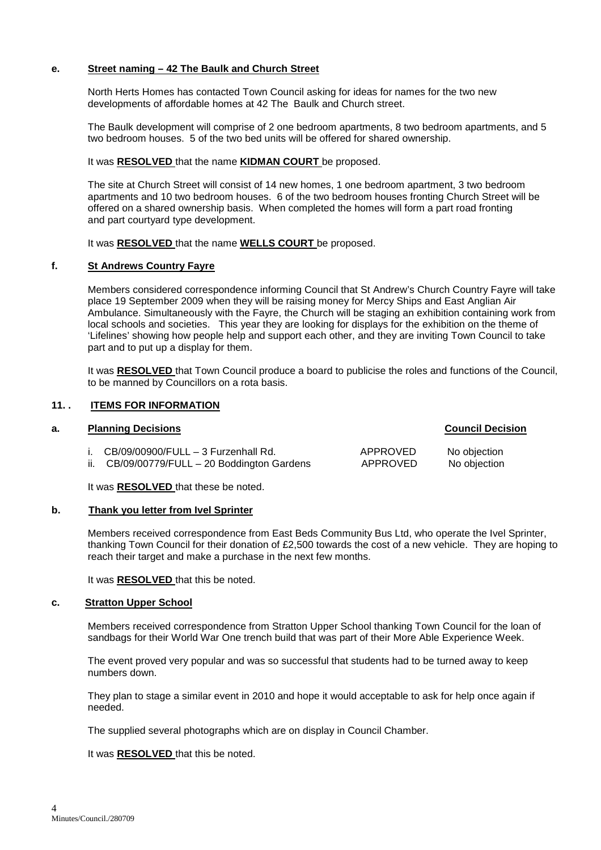# **e. Street naming – 42 The Baulk and Church Street**

North Herts Homes has contacted Town Council asking for ideas for names for the two new developments of affordable homes at 42 The Baulk and Church street.

 The Baulk development will comprise of 2 one bedroom apartments, 8 two bedroom apartments, and 5 two bedroom houses. 5 of the two bed units will be offered for shared ownership.

# It was **RESOLVED** that the name **KIDMAN COURT** be proposed.

The site at Church Street will consist of 14 new homes, 1 one bedroom apartment, 3 two bedroom apartments and 10 two bedroom houses. 6 of the two bedroom houses fronting Church Street will be offered on a shared ownership basis. When completed the homes will form a part road fronting and part courtyard type development.

It was **RESOLVED** that the name **WELLS COURT** be proposed.

### **f. St Andrews Country Fayre**

Members considered correspondence informing Council that St Andrew's Church Country Fayre will take place 19 September 2009 when they will be raising money for Mercy Ships and East Anglian Air Ambulance. Simultaneously with the Fayre, the Church will be staging an exhibition containing work from local schools and societies. This year they are looking for displays for the exhibition on the theme of 'Lifelines' showing how people help and support each other, and they are inviting Town Council to take part and to put up a display for them.

 It was **RESOLVED** that Town Council produce a board to publicise the roles and functions of the Council, to be manned by Councillors on a rota basis.

### **11. . ITEMS FOR INFORMATION**

### **a. Planning Decisions Council Decision**

| i. $CB/09/00900/FULL - 3 Furzenhall Rd.$     | APPROVED | No objection |
|----------------------------------------------|----------|--------------|
| ii. CB/09/00779/FULL - 20 Boddington Gardens | APPROVED | No objection |

It was **RESOLVED** that these be noted.

#### **b. Thank you letter from Ivel Sprinter**

Members received correspondence from East Beds Community Bus Ltd, who operate the Ivel Sprinter, thanking Town Council for their donation of £2,500 towards the cost of a new vehicle. They are hoping to reach their target and make a purchase in the next few months.

It was **RESOLVED** that this be noted.

### **c. Stratton Upper School**

Members received correspondence from Stratton Upper School thanking Town Council for the loan of sandbags for their World War One trench build that was part of their More Able Experience Week.

The event proved very popular and was so successful that students had to be turned away to keep numbers down.

They plan to stage a similar event in 2010 and hope it would acceptable to ask for help once again if needed.

The supplied several photographs which are on display in Council Chamber.

It was **RESOLVED** that this be noted.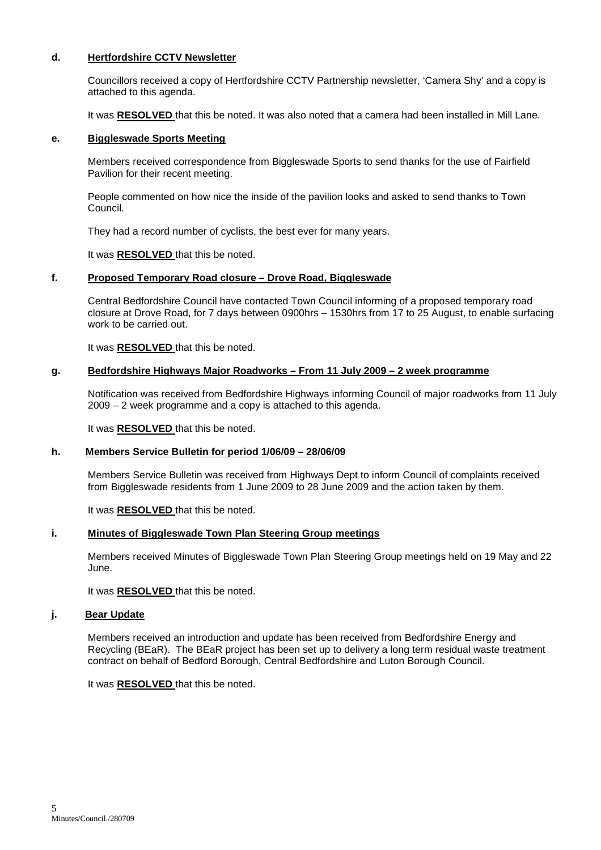# **d. Hertfordshire CCTV Newsletter**

 Councillors received a copy of Hertfordshire CCTV Partnership newsletter, 'Camera Shy' and a copy is attached to this agenda.

It was **RESOLVED** that this be noted. It was also noted that a camera had been installed in Mill Lane.

#### **e. Biggleswade Sports Meeting**

 Members received correspondence from Biggleswade Sports to send thanks for the use of Fairfield Pavilion for their recent meeting.

 People commented on how nice the inside of the pavilion looks and asked to send thanks to Town Council.

They had a record number of cyclists, the best ever for many years.

It was **RESOLVED** that this be noted.

#### **f. Proposed Temporary Road closure – Drove Road, Biggleswade**

 Central Bedfordshire Council have contacted Town Council informing of a proposed temporary road closure at Drove Road, for 7 days between 0900hrs – 1530hrs from 17 to 25 August, to enable surfacing work to be carried out.

It was **RESOLVED** that this be noted.

# **g. Bedfordshire Highways Major Roadworks – From 11 July 2009 – 2 week programme**

 Notification was received from Bedfordshire Highways informing Council of major roadworks from 11 July 2009 – 2 week programme and a copy is attached to this agenda.

It was **RESOLVED** that this be noted.

#### **h. Members Service Bulletin for period 1/06/09 – 28/06/09**

Members Service Bulletin was received from Highways Dept to inform Council of complaints received from Biggleswade residents from 1 June 2009 to 28 June 2009 and the action taken by them.

It was **RESOLVED** that this be noted.

#### **i. Minutes of Biggleswade Town Plan Steering Group meetings**

 Members received Minutes of Biggleswade Town Plan Steering Group meetings held on 19 May and 22 June.

It was **RESOLVED** that this be noted.

#### **j. Bear Update**

Members received an introduction and update has been received from Bedfordshire Energy and Recycling (BEaR). The BEaR project has been set up to delivery a long term residual waste treatment contract on behalf of Bedford Borough, Central Bedfordshire and Luton Borough Council.

It was **RESOLVED** that this be noted.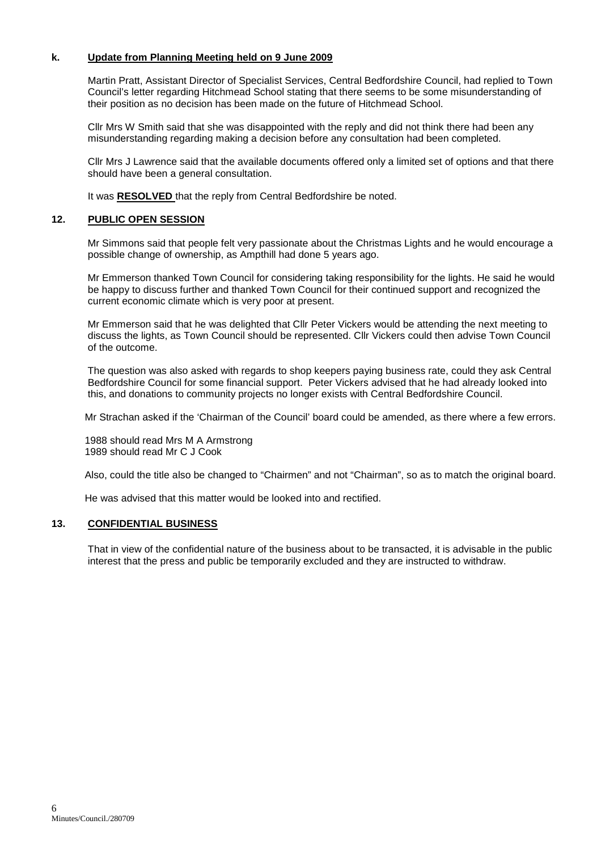# **k. Update from Planning Meeting held on 9 June 2009**

Martin Pratt, Assistant Director of Specialist Services, Central Bedfordshire Council, had replied to Town Council's letter regarding Hitchmead School stating that there seems to be some misunderstanding of their position as no decision has been made on the future of Hitchmead School.

Cllr Mrs W Smith said that she was disappointed with the reply and did not think there had been any misunderstanding regarding making a decision before any consultation had been completed.

Cllr Mrs J Lawrence said that the available documents offered only a limited set of options and that there should have been a general consultation.

It was **RESOLVED** that the reply from Central Bedfordshire be noted.

# **12. PUBLIC OPEN SESSION**

 Mr Simmons said that people felt very passionate about the Christmas Lights and he would encourage a possible change of ownership, as Ampthill had done 5 years ago.

 Mr Emmerson thanked Town Council for considering taking responsibility for the lights. He said he would be happy to discuss further and thanked Town Council for their continued support and recognized the current economic climate which is very poor at present.

 Mr Emmerson said that he was delighted that Cllr Peter Vickers would be attending the next meeting to discuss the lights, as Town Council should be represented. Cllr Vickers could then advise Town Council of the outcome.

 The question was also asked with regards to shop keepers paying business rate, could they ask Central Bedfordshire Council for some financial support. Peter Vickers advised that he had already looked into this, and donations to community projects no longer exists with Central Bedfordshire Council.

Mr Strachan asked if the 'Chairman of the Council' board could be amended, as there where a few errors.

1988 should read Mrs M A Armstrong 1989 should read Mr C J Cook

Also, could the title also be changed to "Chairmen" and not "Chairman", so as to match the original board.

He was advised that this matter would be looked into and rectified.

#### **13. CONFIDENTIAL BUSINESS**

That in view of the confidential nature of the business about to be transacted, it is advisable in the public interest that the press and public be temporarily excluded and they are instructed to withdraw.